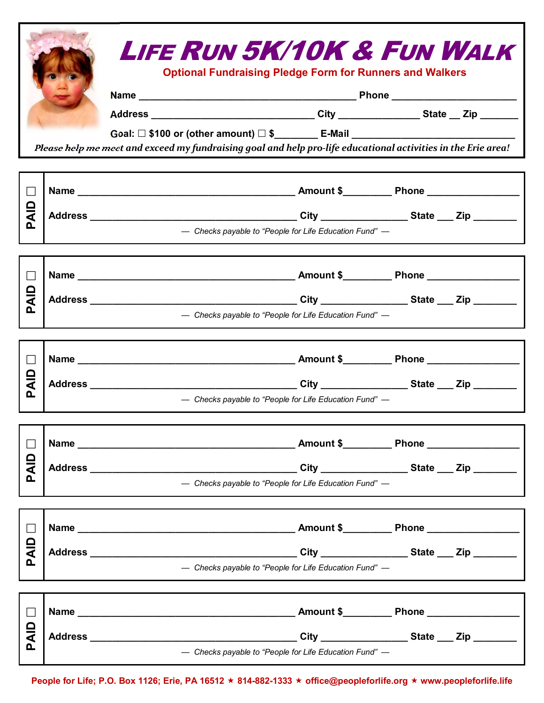|                              | <b>LIFE RUN 5K/10K &amp; FUN WALK</b><br><b>Optional Fundraising Pledge Form for Runners and Walkers</b><br>Goal: □ \$100 or (other amount) □ \$_______ E-Mail ______________________________ |  |  |
|------------------------------|-----------------------------------------------------------------------------------------------------------------------------------------------------------------------------------------------|--|--|
|                              | Please help me meet and exceed my fundraising goal and help pro-life educational activities in the Erie area!                                                                                 |  |  |
| $\Box$                       |                                                                                                                                                                                               |  |  |
| 으<br>Al                      | - Checks payable to "People for Life Education Fund" -                                                                                                                                        |  |  |
|                              |                                                                                                                                                                                               |  |  |
| $\Box$<br>으<br><<br><u>n</u> |                                                                                                                                                                                               |  |  |
|                              | - Checks payable to "People for Life Education Fund" -                                                                                                                                        |  |  |
|                              |                                                                                                                                                                                               |  |  |
| $\mathbf{L}$                 |                                                                                                                                                                                               |  |  |
| 으<br>주<br>Δ.                 | - Checks payable to "People for Life Education Fund" -                                                                                                                                        |  |  |
|                              |                                                                                                                                                                                               |  |  |
| П                            |                                                                                                                                                                                               |  |  |
| ald<br>൨                     | - Checks payable to "People for Life Education Fund" -                                                                                                                                        |  |  |
|                              |                                                                                                                                                                                               |  |  |
|                              |                                                                                                                                                                                               |  |  |
| <b>AID</b><br>൨              | - Checks payable to "People for Life Education Fund" -                                                                                                                                        |  |  |
|                              |                                                                                                                                                                                               |  |  |
| $\Box$                       |                                                                                                                                                                                               |  |  |
| <b>QIP</b><br>൨              | - Checks payable to "People for Life Education Fund" -                                                                                                                                        |  |  |

**People for Life; P.O. Box 1126; Erie, PA 16512** ´ **814-882-1333** ´ **office@peopleforlife.org** ´ **www.peopleforlife.life**